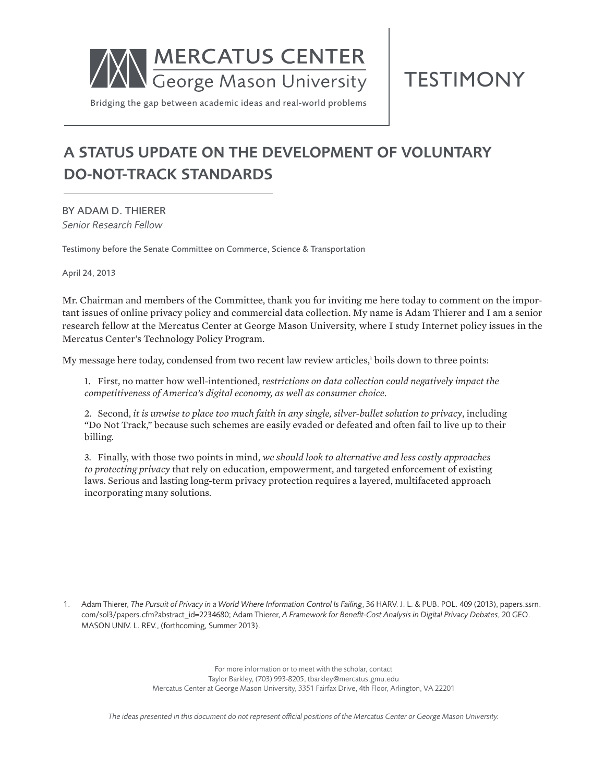

TESTIMONY

Bridging the gap between academic ideas and real-world problems

# A STATUS UPDATE ON THE DEVELOPMENT OF VOLUNTARY DO-NOT-TRACK STANDARDS

BY ADAM D. THIERER *Senior Research Fellow*

Testimony before the Senate Committee on Commerce, Science & Transportation

April 24, 2013

Mr. Chairman and members of the Committee, thank you for inviting me here today to comment on the important issues of online privacy policy and commercial data collection. My name is Adam Thierer and I am a senior research fellow at the Mercatus Center at George Mason University, where I study Internet policy issues in the Mercatus Center's Technology Policy Program.

My message here today, condensed from two recent law review articles,<sup>1</sup> boils down to three points:

1. First, no matter how well-intentioned, *restrictions on data collection could negatively impact the competitiveness of America's digital economy, as well as consumer choice*.

2. Second, *it is unwise to place too much faith in any single, silver-bullet solution to privacy*, including "Do Not Track," because such schemes are easily evaded or defeated and often fail to live up to their billing.

3. Finally, with those two points in mind, *we should look to alternative and less costly approaches to protecting privacy* that rely on education, empowerment, and targeted enforcement of existing laws. Serious and lasting long-term privacy protection requires a layered, multifaceted approach incorporating many solutions.

1. Adam Thierer, *The Pursuit of Privacy in a World Where Information Control Is Failing*, 36 HARV. J. L. & PUB. POL. 409 (2013), papers.ssrn. com/sol3/papers.cfm?abstract\_id=2234680; Adam Thierer, *A Framework for Benefit-Cost Analysis in Digital Privacy Debates*, 20 GEO. MASON UNIV. L. REV., (forthcoming, Summer 2013).

> For more information or to meet with the scholar, contact Taylor Barkley, (703) 993-8205, tbarkley@mercatus.gmu.edu Mercatus Center at George Mason University, 3351 Fairfax Drive, 4th Floor, Arlington, VA 22201

*The ideas presented in this document do not represent official positions of the Mercatus Center or George Mason University.*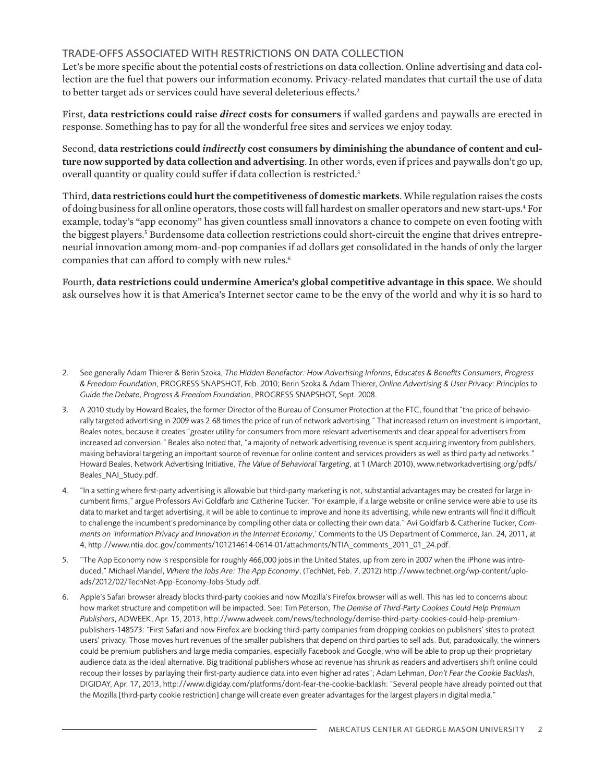# TRADE-OFFS ASSOCIATED WITH RESTRICTIONS ON DATA COLLECTION

Let's be more specific about the potential costs of restrictions on data collection. Online advertising and data collection are the fuel that powers our information economy. Privacy-related mandates that curtail the use of data to better target ads or services could have several deleterious effects.<sup>2</sup>

First, **data restrictions could raise** *direct* **costs for consumers** if walled gardens and paywalls are erected in response. Something has to pay for all the wonderful free sites and services we enjoy today.

Second, **data restrictions could** *indirectly* **cost consumers by diminishing the abundance of content and culture now supported by data collection and advertising**. In other words, even if prices and paywalls don't go up, overall quantity or quality could suffer if data collection is restricted.3

Third, **data restrictions could hurt the competitiveness of domestic markets**. While regulation raises the costs of doing business for all online operators, those costs will fall hardest on smaller operators and new start-ups.<sup>4</sup> For example, today's "app economy" has given countless small innovators a chance to compete on even footing with the biggest players.<sup>5</sup> Burdensome data collection restrictions could short-circuit the engine that drives entrepreneurial innovation among mom-and-pop companies if ad dollars get consolidated in the hands of only the larger companies that can afford to comply with new rules.<sup>6</sup>

Fourth, **data restrictions could undermine America's global competitive advantage in this space**. We should ask ourselves how it is that America's Internet sector came to be the envy of the world and why it is so hard to

- 2. See generally Adam Thierer & Berin Szoka, *The Hidden Benefactor: How Advertising Informs, Educates & Benefits Consumers, Progress & Freedom Foundation*, PROGRESS SNAPSHOT, Feb. 2010; Berin Szoka & Adam Thierer, *Online Advertising & User Privacy: Principles to Guide the Debate, Progress & Freedom Foundation*, PROGRESS SNAPSHOT, Sept. 2008.
- 3. A 2010 study by Howard Beales, the former Director of the Bureau of Consumer Protection at the FTC, found that "the price of behaviorally targeted advertising in 2009 was 2.68 times the price of run of network advertising." That increased return on investment is important, Beales notes, because it creates "greater utility for consumers from more relevant advertisements and clear appeal for advertisers from increased ad conversion." Beales also noted that, "a majority of network advertising revenue is spent acquiring inventory from publishers, making behavioral targeting an important source of revenue for online content and services providers as well as third party ad networks." Howard Beales, Network Advertising Initiative, *The Value of Behavioral Targeting*, at 1 (March 2010), www.networkadvertising.org/pdfs/ Beales\_NAI\_Study.pdf.
- 4. "In a setting where first-party advertising is allowable but third-party marketing is not, substantial advantages may be created for large incumbent firms," argue Professors Avi Goldfarb and Catherine Tucker. "For example, if a large website or online service were able to use its data to market and target advertising, it will be able to continue to improve and hone its advertising, while new entrants will find it difficult to challenge the incumbent's predominance by compiling other data or collecting their own data." Avi Goldfarb & Catherine Tucker, *Comments on 'Information Privacy and Innovation in the Internet Economy*,' Comments to the US Department of Commerce, Jan. 24, 2011, at 4, http://www.ntia.doc.gov/comments/101214614-0614-01/attachments/NTIA\_comments\_2011\_01\_24.pdf.
- 5. "The App Economy now is responsible for roughly 466,000 jobs in the United States, up from zero in 2007 when the iPhone was introduced." Michael Mandel, *Where the Jobs Are: The App Economy*, (TechNet, Feb. 7, 2012) http://www.technet.org/wp-content/uploads/2012/02/TechNet-App-Economy-Jobs-Study.pdf.
- 6. Apple's Safari browser already blocks third-party cookies and now Mozilla's Firefox browser will as well. This has led to concerns about how market structure and competition will be impacted. See: Tim Peterson, *The Demise of Third-Party Cookies Could Help Premium Publishers*, ADWEEK, Apr. 15, 2013, http://www.adweek.com/news/technology/demise-third-party-cookies-could-help-premiumpublishers-148573: "First Safari and now Firefox are blocking third-party companies from dropping cookies on publishers' sites to protect users' privacy. Those moves hurt revenues of the smaller publishers that depend on third parties to sell ads. But, paradoxically, the winners could be premium publishers and large media companies, especially Facebook and Google, who will be able to prop up their proprietary audience data as the ideal alternative. Big traditional publishers whose ad revenue has shrunk as readers and advertisers shift online could recoup their losses by parlaying their first-party audience data into even higher ad rates"; Adam Lehman, *Don't Fear the Cookie Backlash*, DIGIDAY, Apr. 17, 2013, http://www.digiday.com/platforms/dont-fear-the-cookie-backlash: "Several people have already pointed out that the Mozilla [third-party cookie restriction] change will create even greater advantages for the largest players in digital media."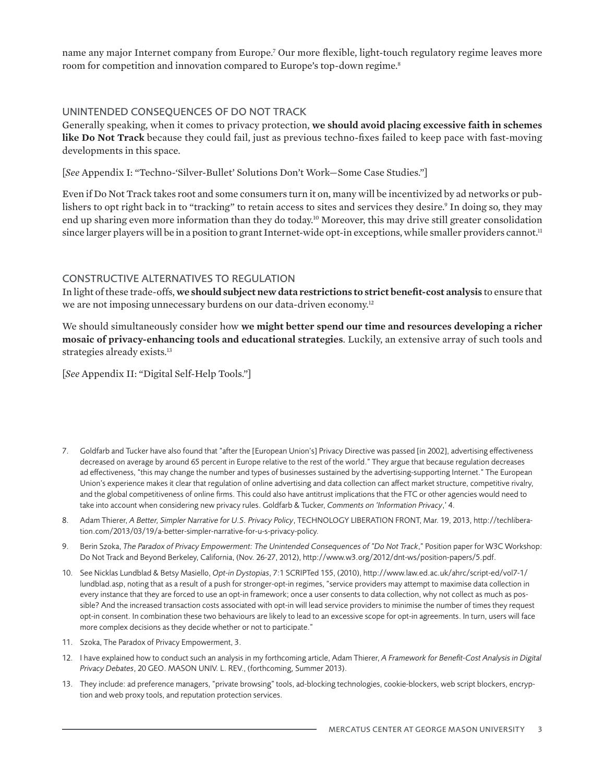name any major Internet company from Europe.7 Our more flexible, light-touch regulatory regime leaves more room for competition and innovation compared to Europe's top-down regime.<sup>8</sup>

# UNINTENDED CONSEQUENCES OF DO NOT TRACK

Generally speaking, when it comes to privacy protection, **we should avoid placing excessive faith in schemes like Do Not Track** because they could fail, just as previous techno-fixes failed to keep pace with fast-moving developments in this space.

[*See* Appendix I: "Techno-'Silver-Bullet' Solutions Don't Work—Some Case Studies."]

Even if Do Not Track takes root and some consumers turn it on, many will be incentivized by ad networks or publishers to opt right back in to "tracking" to retain access to sites and services they desire.<sup>9</sup> In doing so, they may end up sharing even more information than they do today.10 Moreover, this may drive still greater consolidation since larger players will be in a position to grant Internet-wide opt-in exceptions, while smaller providers cannot.<sup>11</sup>

# CONSTRUCTIVE ALTERNATIVES TO REGULATION

In light of these trade-offs, **we should subject new data restrictions to strict benefit-cost analysis** to ensure that we are not imposing unnecessary burdens on our data-driven economy.<sup>12</sup>

We should simultaneously consider how **we might better spend our time and resources developing a richer mosaic of privacy-enhancing tools and educational strategies**. Luckily, an extensive array of such tools and strategies already exists.<sup>13</sup>

[*See* Appendix II: "Digital Self-Help Tools."]

- 7. Goldfarb and Tucker have also found that "after the [European Union's] Privacy Directive was passed [in 2002], advertising effectiveness decreased on average by around 65 percent in Europe relative to the rest of the world." They argue that because regulation decreases ad effectiveness, "this may change the number and types of businesses sustained by the advertising-supporting Internet." The European Union's experience makes it clear that regulation of online advertising and data collection can affect market structure, competitive rivalry, and the global competitiveness of online firms. This could also have antitrust implications that the FTC or other agencies would need to take into account when considering new privacy rules. Goldfarb & Tucker, *Comments on 'Information Privacy*,' 4.
- 8. Adam Thierer, *A Better, Simpler Narrative for U.S. Privacy Policy*, TECHNOLOGY LIBERATION FRONT, Mar. 19, 2013, http://techliberation.com/2013/03/19/a-better-simpler-narrative-for-u-s-privacy-policy.
- 9. Berin Szoka, *The Paradox of Privacy Empowerment: The Unintended Consequences of "Do Not Track*," Position paper for W3C Workshop: Do Not Track and Beyond Berkeley, California, (Nov. 26-27, 2012), http://www.w3.org/2012/dnt-ws/position-papers/5.pdf.
- 10. See Nicklas Lundblad & Betsy Masiello, *Opt-in Dystopias*, 7:1 SCRIPTed 155, (2010), http://www.law.ed.ac.uk/ahrc/script-ed/vol7-1/ lundblad.asp, noting that as a result of a push for stronger-opt-in regimes, "service providers may attempt to maximise data collection in every instance that they are forced to use an opt-in framework; once a user consents to data collection, why not collect as much as possible? And the increased transaction costs associated with opt-in will lead service providers to minimise the number of times they request opt-in consent. In combination these two behaviours are likely to lead to an excessive scope for opt-in agreements. In turn, users will face more complex decisions as they decide whether or not to participate."
- 11. Szoka, The Paradox of Privacy Empowerment, 3.
- 12. I have explained how to conduct such an analysis in my forthcoming article, Adam Thierer, *A Framework for Benefit-Cost Analysis in Digital Privacy Debates*, 20 GEO. MASON UNIV. L. REV., (forthcoming, Summer 2013).
- 13. They include: ad preference managers, "private browsing" tools, ad-blocking technologies, cookie-blockers, web script blockers, encryption and web proxy tools, and reputation protection services.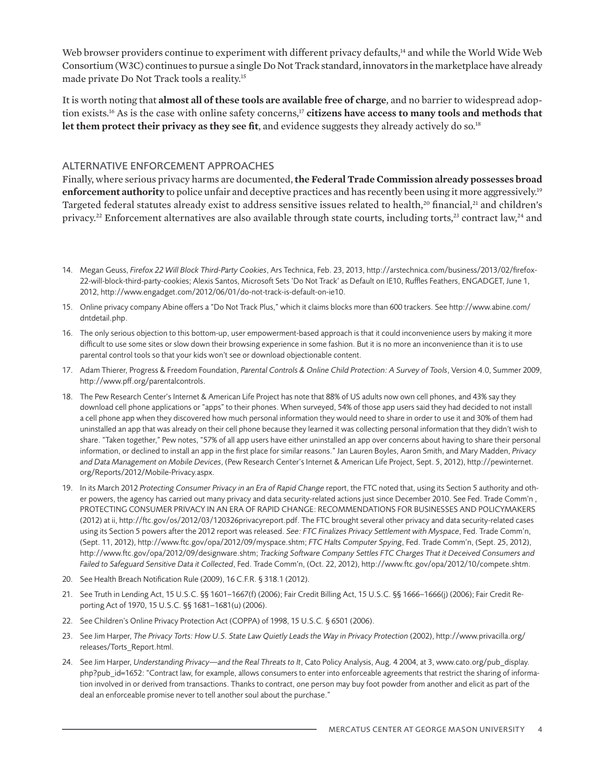Web browser providers continue to experiment with different privacy defaults,<sup>14</sup> and while the World Wide Web Consortium (W3C) continues to pursue a single Do Not Track standard, innovators in the marketplace have already made private Do Not Track tools a reality.15

It is worth noting that **almost all of these tools are available free of charge**, and no barrier to widespread adoption exists.16 As is the case with online safety concerns,17 **citizens have access to many tools and methods that let them protect their privacy as they see fit**, and evidence suggests they already actively do so.18

# ALTERNATIVE ENFORCEMENT APPROACHES

Finally, where serious privacy harms are documented, **the Federal Trade Commission already possesses broad enforcement authority** to police unfair and deceptive practices and has recently been using it more aggressively.<sup>19</sup> Targeted federal statutes already exist to address sensitive issues related to health,<sup>20</sup> financial,<sup>21</sup> and children's privacy.<sup>22</sup> Enforcement alternatives are also available through state courts, including torts,<sup>23</sup> contract law,<sup>24</sup> and

- 14. Megan Geuss, *Firefox 22 Will Block Third-Party Cookies*, Ars Technica, Feb. 23, 2013, http://arstechnica.com/business/2013/02/firefox-22-will-block-third-party-cookies; Alexis Santos, Microsoft Sets 'Do Not Track' as Default on IE10, Ruffles Feathers, ENGADGET, June 1, 2012, http://www.engadget.com/2012/06/01/do-not-track-is-default-on-ie10.
- 15. Online privacy company Abine offers a "Do Not Track Plus," which it claims blocks more than 600 trackers. See http://www.abine.com/ dntdetail.php.
- 16. The only serious objection to this bottom-up, user empowerment-based approach is that it could inconvenience users by making it more difficult to use some sites or slow down their browsing experience in some fashion. But it is no more an inconvenience than it is to use parental control tools so that your kids won't see or download objectionable content.
- 17. Adam Thierer, Progress & Freedom Foundation, *Parental Controls & Online Child Protection: A Survey of Tools*, Version 4.0, Summer 2009, http://www.pff.org/parentalcontrols.
- 18. The Pew Research Center's Internet & American Life Project has note that 88% of US adults now own cell phones, and 43% say they download cell phone applications or "apps" to their phones. When surveyed, 54% of those app users said they had decided to not install a cell phone app when they discovered how much personal information they would need to share in order to use it and 30% of them had uninstalled an app that was already on their cell phone because they learned it was collecting personal information that they didn't wish to share. "Taken together," Pew notes, "57% of all app users have either uninstalled an app over concerns about having to share their personal information, or declined to install an app in the first place for similar reasons." Jan Lauren Boyles, Aaron Smith, and Mary Madden, *Privacy and Data Management on Mobile Devices*, (Pew Research Center's Internet & American Life Project, Sept. 5, 2012), http://pewinternet. org/Reports/2012/Mobile-Privacy.aspx.
- 19. In its March 2012 *Protecting Consumer Privacy in an Era of Rapid Change* report, the FTC noted that, using its Section 5 authority and other powers, the agency has carried out many privacy and data security-related actions just since December 2010. See Fed. Trade Comm'n , PROTECTING CONSUMER PRIVACY IN AN ERA OF RAPID CHANGE: RECOMMENDATIONS FOR BUSINESSES AND POLICYMAKERS (2012) at ii, http://ftc.gov/os/2012/03/120326privacyreport.pdf. The FTC brought several other privacy and data security-related cases using its Section 5 powers after the 2012 report was released. *See: FTC Finalizes Privacy Settlement with Myspace*, Fed. Trade Comm'n, (Sept. 11, 2012), http://www.ftc.gov/opa/2012/09/myspace.shtm; *FTC Halts Computer Spying*, Fed. Trade Comm'n, (Sept. 25, 2012), http://www.ftc.gov/opa/2012/09/designware.shtm; *Tracking Software Company Settles FTC Charges That it Deceived Consumers and Failed to Safeguard Sensitive Data it Collected*, Fed. Trade Comm'n, (Oct. 22, 2012), http://www.ftc.gov/opa/2012/10/compete.shtm.
- 20. See Health Breach Notification Rule (2009), 16 C.F.R. § 318.1 (2012).
- 21. See Truth in Lending Act, 15 U.S.C. §§ 1601–1667(f) (2006); Fair Credit Billing Act, 15 U.S.C. §§ 1666–1666(j) (2006); Fair Credit Reporting Act of 1970, 15 U.S.C. §§ 1681–1681(u) (2006).
- 22. See Children's Online Privacy Protection Act (COPPA) of 1998, 15 U.S.C. § 6501 (2006).
- 23. See Jim Harper, The Privacy Torts: How U.S. State Law Quietly Leads the Way in Privacy Protection (2002), http://www.privacilla.org/ releases/Torts\_Report.html.
- 24. See Jim Harper, *Understanding Privacy—and the Real Threats to It*, Cato Policy Analysis, Aug. 4 2004, at 3, www.cato.org/pub\_display. php?pub\_id=1652: "Contract law, for example, allows consumers to enter into enforceable agreements that restrict the sharing of information involved in or derived from transactions. Thanks to contract, one person may buy foot powder from another and elicit as part of the deal an enforceable promise never to tell another soul about the purchase."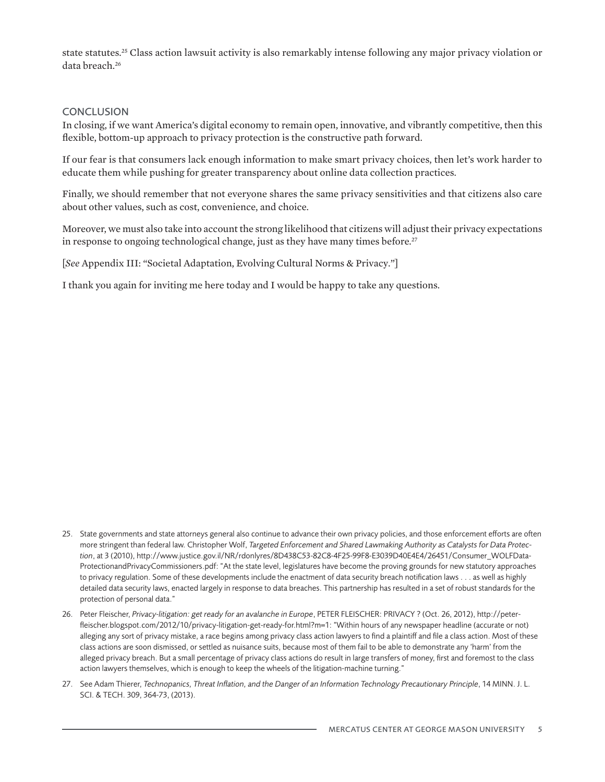state statutes.25 Class action lawsuit activity is also remarkably intense following any major privacy violation or data breach.26

# **CONCLUSION**

In closing, if we want America's digital economy to remain open, innovative, and vibrantly competitive, then this flexible, bottom-up approach to privacy protection is the constructive path forward.

If our fear is that consumers lack enough information to make smart privacy choices, then let's work harder to educate them while pushing for greater transparency about online data collection practices.

Finally, we should remember that not everyone shares the same privacy sensitivities and that citizens also care about other values, such as cost, convenience, and choice.

Moreover, we must also take into account the strong likelihood that citizens will adjust their privacy expectations in response to ongoing technological change, just as they have many times before.<sup>27</sup>

[*See* Appendix III: "Societal Adaptation, Evolving Cultural Norms & Privacy*.*"]

I thank you again for inviting me here today and I would be happy to take any questions.

- 25. State governments and state attorneys general also continue to advance their own privacy policies, and those enforcement efforts are often more stringent than federal law. Christopher Wolf, *Targeted Enforcement and Shared Lawmaking Authority as Catalysts for Data Protection*, at 3 (2010), http://www.justice.gov.il/NR/rdonlyres/8D438C53-82C8-4F25-99F8-E3039D40E4E4/26451/Consumer\_WOLFData-ProtectionandPrivacyCommissioners.pdf: "At the state level, legislatures have become the proving grounds for new statutory approaches to privacy regulation. Some of these developments include the enactment of data security breach notification laws . . . as well as highly detailed data security laws, enacted largely in response to data breaches. This partnership has resulted in a set of robust standards for the protection of personal data."
- 26. Peter Fleischer, *Privacy-litigation: get ready for an avalanche in Europe*, PETER FLEISCHER: PRIVACY ? (Oct. 26, 2012), http://peterfleischer.blogspot.com/2012/10/privacy-litigation-get-ready-for.html?m=1: "Within hours of any newspaper headline (accurate or not) alleging any sort of privacy mistake, a race begins among privacy class action lawyers to find a plaintiff and file a class action. Most of these class actions are soon dismissed, or settled as nuisance suits, because most of them fail to be able to demonstrate any 'harm' from the alleged privacy breach. But a small percentage of privacy class actions do result in large transfers of money, first and foremost to the class action lawyers themselves, which is enough to keep the wheels of the litigation-machine turning."
- 27. See Adam Thierer, *Technopanics, Threat Inflation, and the Danger of an Information Technology Precautionary Principle*, 14 MINN. J. L. SCI. & TECH. 309, 364-73, (2013).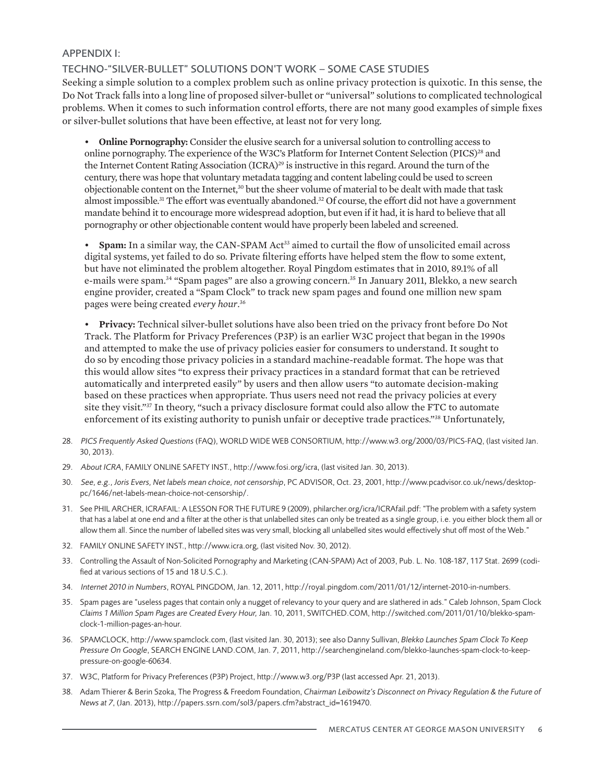# APPENDIX I:

# TECHNO-"SILVER-BULLET" SOLUTIONS DON'T WORK – SOME CASE STUDIES

Seeking a simple solution to a complex problem such as online privacy protection is quixotic. In this sense, the Do Not Track falls into a long line of proposed silver-bullet or "universal" solutions to complicated technological problems. When it comes to such information control efforts, there are not many good examples of simple fixes or silver-bullet solutions that have been effective, at least not for very long.

• **Online Pornography:** Consider the elusive search for a universal solution to controlling access to online pornography. The experience of the W3C's Platform for Internet Content Selection (PICS)28 and the Internet Content Rating Association (ICRA)<sup>29</sup> is instructive in this regard. Around the turn of the century, there was hope that voluntary metadata tagging and content labeling could be used to screen objectionable content on the Internet,<sup>30</sup> but the sheer volume of material to be dealt with made that task almost impossible.<sup>31</sup> The effort was eventually abandoned.<sup>32</sup> Of course, the effort did not have a government mandate behind it to encourage more widespread adoption, but even if it had, it is hard to believe that all pornography or other objectionable content would have properly been labeled and screened.

Spam: In a similar way, the CAN-SPAM Act<sup>33</sup> aimed to curtail the flow of unsolicited email across digital systems, yet failed to do so. Private filtering efforts have helped stem the flow to some extent, but have not eliminated the problem altogether. Royal Pingdom estimates that in 2010, 89.1% of all e-mails were spam.34 "Spam pages" are also a growing concern.35 In January 2011, Blekko, a new search engine provider, created a "Spam Clock" to track new spam pages and found one million new spam pages were being created *every hour*. 36

• **Privacy:** Technical silver-bullet solutions have also been tried on the privacy front before Do Not Track. The Platform for Privacy Preferences (P3P) is an earlier W3C project that began in the 1990s and attempted to make the use of privacy policies easier for consumers to understand. It sought to do so by encoding those privacy policies in a standard machine-readable format. The hope was that this would allow sites "to express their privacy practices in a standard format that can be retrieved automatically and interpreted easily" by users and then allow users "to automate decision-making based on these practices when appropriate. Thus users need not read the privacy policies at every site they visit."<sup>37</sup> In theory, "such a privacy disclosure format could also allow the FTC to automate enforcement of its existing authority to punish unfair or deceptive trade practices."38 Unfortunately,

- 28. *PICS Frequently Asked Questions* (FAQ), WORLD WIDE WEB CONSORTIUM, http://www.w3.org/2000/03/PICS-FAQ, (last visited Jan. 30, 2013).
- 29. *About ICRA*, FAMILY ONLINE SAFETY INST., http://www.fosi.org/icra, (last visited Jan. 30, 2013).
- 30. *See, e.g., Joris Evers, Net labels mean choice, not censorship*, PC ADVISOR, Oct. 23, 2001, http://www.pcadvisor.co.uk/news/desktoppc/1646/net-labels-mean-choice-not-censorship/.
- 31. See PHIL ARCHER, ICRAFAIL: A LESSON FOR THE FUTURE 9 (2009), philarcher.org/icra/ICRAfail.pdf: "The problem with a safety system that has a label at one end and a filter at the other is that unlabelled sites can only be treated as a single group, i.e. you either block them all or allow them all. Since the number of labelled sites was very small, blocking all unlabelled sites would effectively shut off most of the Web."
- 32. FAMILY ONLINE SAFETY INST., http://www.icra.org, (last visited Nov. 30, 2012).
- 33. Controlling the Assault of Non-Solicited Pornography and Marketing (CAN-SPAM) Act of 2003, Pub. L. No. 108-187, 117 Stat. 2699 (codified at various sections of 15 and 18 U.S.C.).
- 34. *Internet 2010 in Numbers*, ROYAL PINGDOM, Jan. 12, 2011, http://royal.pingdom.com/2011/01/12/internet-2010-in-numbers.
- 35. Spam pages are "useless pages that contain only a nugget of relevancy to your query and are slathered in ads." Caleb Johnson, Spam Clock *Claims 1 Million Spam Pages are Created Every Hour,* Jan. 10, 2011, SWITCHED.COM, http://switched.com/2011/01/10/blekko-spamclock-1-million-pages-an-hour.
- 36. SPAMCLOCK, http://www.spamclock.com, (last visited Jan. 30, 2013); see also Danny Sullivan, *Blekko Launches Spam Clock To Keep Pressure On Google*, SEARCH ENGINE LAND.COM, Jan. 7, 2011, http://searchengineland.com/blekko-launches-spam-clock-to-keeppressure-on-google-60634.
- 37. W3C, Platform for Privacy Preferences (P3P) Project, http://www.w3.org/P3P (last accessed Apr. 21, 2013).
- 38. Adam Thierer & Berin Szoka, The Progress & Freedom Foundation, *Chairman Leibowitz's Disconnect on Privacy Regulation & the Future of News at 7*, (Jan. 2013), http://papers.ssrn.com/sol3/papers.cfm?abstract\_id=1619470.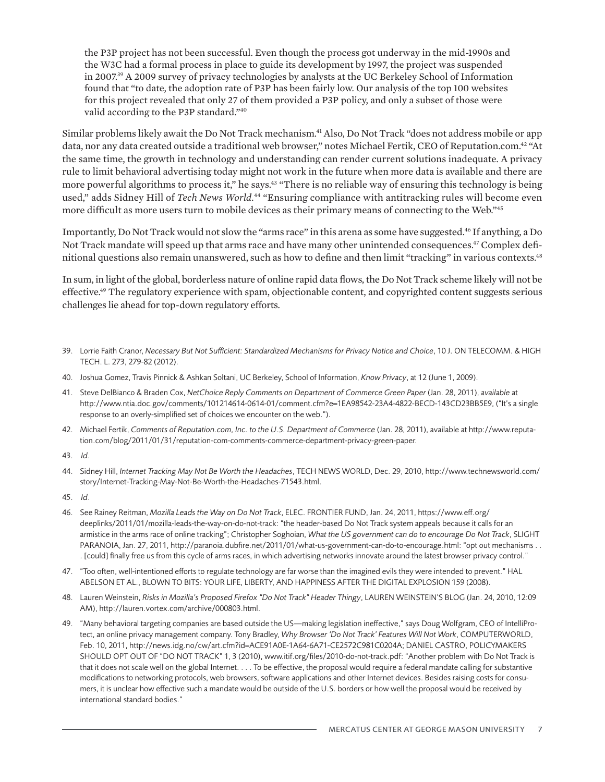the P3P project has not been successful. Even though the process got underway in the mid-1990s and the W3C had a formal process in place to guide its development by 1997, the project was suspended in 2007.39 A 2009 survey of privacy technologies by analysts at the UC Berkeley School of Information found that "to date, the adoption rate of P3P has been fairly low. Our analysis of the top 100 websites for this project revealed that only 27 of them provided a P3P policy, and only a subset of those were valid according to the P3P standard."<sup>40</sup>

Similar problems likely await the Do Not Track mechanism.41 Also, Do Not Track "does not address mobile or app data, nor any data created outside a traditional web browser," notes Michael Fertik, CEO of Reputation.com.42 "At the same time, the growth in technology and understanding can render current solutions inadequate. A privacy rule to limit behavioral advertising today might not work in the future when more data is available and there are more powerful algorithms to process it," he says.<sup>43</sup> "There is no reliable way of ensuring this technology is being used," adds Sidney Hill of *Tech News World.*<sup>44</sup> "Ensuring compliance with antitracking rules will become even more difficult as more users turn to mobile devices as their primary means of connecting to the Web."<sup>45</sup>

Importantly, Do Not Track would not slow the "arms race" in this arena as some have suggested.<sup>46</sup> If anything, a Do Not Track mandate will speed up that arms race and have many other unintended consequences.<sup>47</sup> Complex definitional questions also remain unanswered, such as how to define and then limit "tracking" in various contexts.<sup>48</sup>

In sum, in light of the global, borderless nature of online rapid data flows, the Do Not Track scheme likely will not be effective.49 The regulatory experience with spam, objectionable content, and copyrighted content suggests serious challenges lie ahead for top-down regulatory efforts.

- 39. Lorrie Faith Cranor, *Necessary But Not Sufficient: Standardized Mechanisms for Privacy Notice and Choice*, 10 J. ON TELECOMM. & HIGH TECH. L. 273, 279-82 (2012).
- 40. Joshua Gomez, Travis Pinnick & Ashkan Soltani, UC Berkeley, School of Information, *Know Privacy*, at 12 (June 1, 2009).
- 41. Steve DelBianco & Braden Cox, *NetChoice Reply Comments on Department of Commerce Green Paper* (Jan. 28, 2011), *available* at http://www.ntia.doc.gov/comments/101214614-0614-01/comment.cfm?e=1EA98542-23A4-4822-BECD-143CD23BB5E9, ("It's a single response to an overly-simplified set of choices we encounter on the web.").
- 42. Michael Fertik, *Comments of Reputation.com, Inc. to the U.S. Department of Commerce* (Jan. 28, 2011), available at http://www.reputation.com/blog/2011/01/31/reputation-com-comments-commerce-department-privacy-green-paper.
- 43. *Id*.
- 44. Sidney Hill, *Internet Tracking May Not Be Worth the Headaches*, TECH NEWS WORLD, Dec. 29, 2010, http://www.technewsworld.com/ story/Internet-Tracking-May-Not-Be-Worth-the-Headaches-71543.html.
- 45. *Id*.
- 46. See Rainey Reitman, *Mozilla Leads the Way on Do Not Track*, ELEC. FRONTIER FUND, Jan. 24, 2011, https://www.eff.org/ deeplinks/2011/01/mozilla-leads-the-way-on-do-not-track: "the header-based Do Not Track system appeals because it calls for an armistice in the arms race of online tracking"; Christopher Soghoian, *What the US government can do to encourage Do Not Track*, SLIGHT PARANOIA, Jan. 27, 2011, http://paranoia.dubfire.net/2011/01/what-us-government-can-do-to-encourage.html: "opt out mechanisms . . . [could] finally free us from this cycle of arms races, in which advertising networks innovate around the latest browser privacy control."
- 47. "Too often, well-intentioned efforts to regulate technology are far worse than the imagined evils they were intended to prevent." HAL ABELSON ET AL., BLOWN TO BITS: YOUR LIFE, LIBERTY, AND HAPPINESS AFTER THE DIGITAL EXPLOSION 159 (2008).
- 48. Lauren Weinstein, *Risks in Mozilla's Proposed Firefox "Do Not Track" Header Thingy*, LAUREN WEINSTEIN'S BLOG (Jan. 24, 2010, 12:09 AM), http://lauren.vortex.com/archive/000803.html.
- 49. "Many behavioral targeting companies are based outside the US—making legislation ineffective," says Doug Wolfgram, CEO of IntelliProtect, an online privacy management company. Tony Bradley, *Why Browser 'Do Not Track' Features Will Not Work*, COMPUTERWORLD, Feb. 10, 2011, http://news.idg.no/cw/art.cfm?id=ACE91A0E-1A64-6A71-CE2572C981C0204A; DANIEL CASTRO, POLICYMAKERS SHOULD OPT OUT OF "DO NOT TRACK" 1, 3 (2010), www.itif.org/files/2010-do-not-track.pdf: "Another problem with Do Not Track is that it does not scale well on the global Internet. . . . To be effective, the proposal would require a federal mandate calling for substantive modifications to networking protocols, web browsers, software applications and other Internet devices. Besides raising costs for consumers, it is unclear how effective such a mandate would be outside of the U.S. borders or how well the proposal would be received by international standard bodies."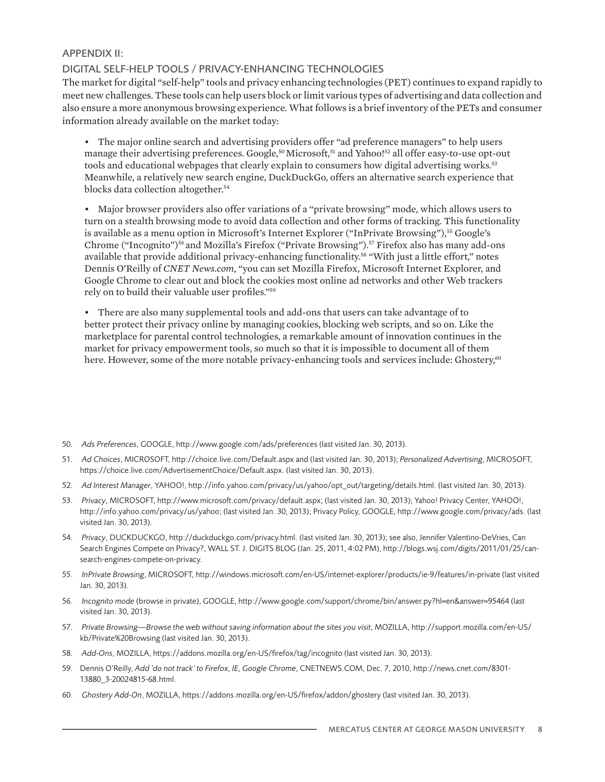## APPENDIX II:

# DIGITAL SELF-HELP TOOLS / PRIVACY-ENHANCING TECHNOLOGIES

The market for digital "self-help" tools and privacy enhancing technologies (PET) continues to expand rapidly to meet new challenges. These tools can help users block or limit various types of advertising and data collection and also ensure a more anonymous browsing experience. What follows is a brief inventory of the PETs and consumer information already available on the market today:

- The major online search and advertising providers offer "ad preference managers" to help users manage their advertising preferences. Google,<sup>50</sup> Microsoft,<sup>51</sup> and Yahoo!<sup>52</sup> all offer easy-to-use opt-out tools and educational webpages that clearly explain to consumers how digital advertising works.<sup>53</sup> Meanwhile, a relatively new search engine, DuckDuckGo, offers an alternative search experience that blocks data collection altogether.<sup>54</sup>
- Major browser providers also offer variations of a "private browsing" mode, which allows users to turn on a stealth browsing mode to avoid data collection and other forms of tracking. This functionality is available as a menu option in Microsoft's Internet Explorer ("InPrivate Browsing"),<sup>55</sup> Google's Chrome ("Incognito")56 and Mozilla's Firefox ("Private Browsing").57 Firefox also has many add-ons available that provide additional privacy-enhancing functionality.58 "With just a little effort," notes Dennis O'Reilly of *CNET News.com*, "you can set Mozilla Firefox, Microsoft Internet Explorer, and Google Chrome to clear out and block the cookies most online ad networks and other Web trackers rely on to build their valuable user profiles."59

• There are also many supplemental tools and add-ons that users can take advantage of to better protect their privacy online by managing cookies, blocking web scripts, and so on. Like the marketplace for parental control technologies, a remarkable amount of innovation continues in the market for privacy empowerment tools, so much so that it is impossible to document all of them here. However, some of the more notable privacy-enhancing tools and services include: Ghostery,<sup>60</sup>

- 50. *Ads Preferences*, GOOGLE, http://www.google.com/ads/preferences (last visited Jan. 30, 2013).
- 51. *Ad Choices*, MICROSOFT, http://choice.live.com/Default.aspx and (last visited Jan. 30, 2013); *Personalized Advertising*, MICROSOFT, https://choice.live.com/AdvertisementChoice/Default.aspx. (last visited Jan. 30, 2013).
- 52. *Ad Interest Manager*, YAHOO!, http://info.yahoo.com/privacy/us/yahoo/opt\_out/targeting/details.html. (last visited Jan. 30, 2013).
- 53. *Privacy*, MICROSOFT, http://www.microsoft.com/privacy/default.aspx; (last visited Jan. 30, 2013); Yahoo! Privacy Center, YAHOO!, http://info.yahoo.com/privacy/us/yahoo; (last visited Jan. 30, 2013); Privacy Policy, GOOGLE, http://www.google.com/privacy/ads. (last visited Jan. 30, 2013).
- 54. *Privacy*, DUCKDUCKGO, http://duckduckgo.com/privacy.html. (last visited Jan. 30, 2013); see also, Jennifer Valentino-DeVries, Can Search Engines Compete on Privacy?, WALL ST. J. DIGITS BLOG (Jan. 25, 2011, 4:02 PM), http://blogs.wsj.com/digits/2011/01/25/cansearch-engines-compete-on-privacy.
- 55. *InPrivate Browsing*, MICROSOFT, http://windows.microsoft.com/en-US/internet-explorer/products/ie-9/features/in-private (last visited Jan. 30, 2013).
- 56. *Incognito mode* (browse in private), GOOGLE, http://www.google.com/support/chrome/bin/answer.py?hl=en&answer=95464 (last visited Jan. 30, 2013).
- 57. *Private Browsing—Browse the web without saving information about the sites you visit*, MOZILLA, http://support.mozilla.com/en-US/ kb/Private%20Browsing (last visited Jan. 30, 2013).
- 58. *Add-Ons*, MOZILLA, https://addons.mozilla.org/en-US/firefox/tag/incognito (last visited Jan. 30, 2013).
- 59. Dennis O'Reilly, *Add 'do not track' to Firefox, IE, Google Chrome*, CNETNEWS.COM, Dec. 7, 2010, http://news.cnet.com/8301- 13880\_3-20024815-68.html.
- 60. *Ghostery Add-On*, MOZILLA, https://addons.mozilla.org/en-US/firefox/addon/ghostery (last visited Jan. 30, 2013).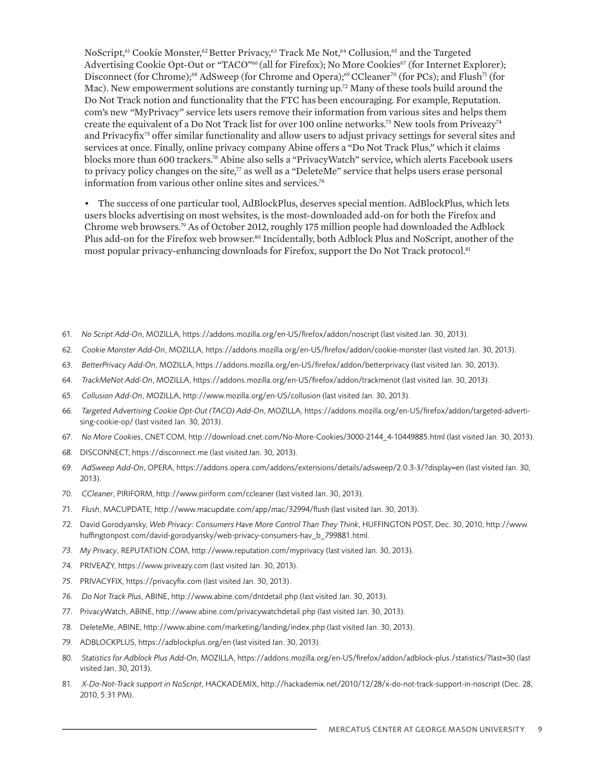NoScript,<sup>61</sup> Cookie Monster,<sup>62</sup> Better Privacy,<sup>63</sup> Track Me Not,<sup>64</sup> Collusion,<sup>65</sup> and the Targeted Advertising Cookie Opt-Out or "TACO"<sup>66</sup> (all for Firefox); No More Cookies<sup>67</sup> (for Internet Explorer); Disconnect (for Chrome);<sup>68</sup> AdSweep (for Chrome and Opera);<sup>69</sup> CCleaner<sup>70</sup> (for PCs); and Flush<sup>71</sup> (for Mac). New empowerment solutions are constantly turning up.72 Many of these tools build around the Do Not Track notion and functionality that the FTC has been encouraging. For example, Reputation. com's new "MyPrivacy" service lets users remove their information from various sites and helps them create the equivalent of a Do Not Track list for over 100 online networks.<sup>73</sup> New tools from Priveazy<sup>74</sup> and Privacyfix<sup>75</sup> offer similar functionality and allow users to adjust privacy settings for several sites and services at once. Finally, online privacy company Abine offers a "Do Not Track Plus," which it claims blocks more than 600 trackers.76 Abine also sells a "PrivacyWatch" service, which alerts Facebook users to privacy policy changes on the site,<sup>77</sup> as well as a "DeleteMe" service that helps users erase personal information from various other online sites and services.78

• The success of one particular tool, AdBlockPlus, deserves special mention. AdBlockPlus, which lets users blocks advertising on most websites, is the most-downloaded add-on for both the Firefox and Chrome web browsers.79 As of October 2012, roughly 175 million people had downloaded the Adblock Plus add-on for the Firefox web browser.<sup>80</sup> Incidentally, both Adblock Plus and NoScript, another of the most popular privacy-enhancing downloads for Firefox, support the Do Not Track protocol.<sup>81</sup>

- 61. *No Script Add-On*, MOZILLA, https://addons.mozilla.org/en-US/firefox/addon/noscript (last visited Jan. 30, 2013).
- 62. *Cookie Monster Add-On*, MOZILLA, https://addons.mozilla.org/en-US/firefox/addon/cookie-monster (last visited Jan. 30, 2013).
- 63. *BetterPrivacy Add-On*, MOZILLA, https://addons.mozilla.org/en-US/firefox/addon/betterprivacy (last visited Jan. 30, 2013).
- 64. *TrackMeNot Add-On*, MOZILLA, https://addons.mozilla.org/en-US/firefox/addon/trackmenot (last visited Jan. 30, 2013).
- 65. *Collusion Add-On*, MOZILLA, http://www.mozilla.org/en-US/collusion (last visited Jan. 30, 2013).
- 66. *Targeted Advertising Cookie Opt-Out (TACO) Add-On*, MOZILLA, https://addons.mozilla.org/en-US/firefox/addon/targeted-advertising-cookie-op/ (last visited Jan. 30, 2013).
- 67. *No More Cookies*, CNET.COM, http://download.cnet.com/No-More-Cookies/3000-2144\_4-10449885.html (last visited Jan. 30, 2013).
- 68. DISCONNECT, https://disconnect.me (last visited Jan. 30, 2013).
- 69. *AdSweep Add-On*, OPERA, https://addons.opera.com/addons/extensions/details/adsweep/2.0.3-3/?display=en (last visited Jan. 30, 2013).
- 70. *CCleaner*, PIRIFORM, http://www.piriform.com/ccleaner (last visited Jan. 30, 2013).
- 71. *Flush*, MACUPDATE, http://www.macupdate.com/app/mac/32994/flush (last visited Jan. 30, 2013).
- 72. David Gorodyansky, *Web Privacy: Consumers Have More Control Than They Think*, HUFFINGTON POST, Dec. 30, 2010, http://www. huffingtonpost.com/david-gorodyansky/web-privacy-consumers-hav\_b\_799881.html.
- *73. My Privacy*, REPUTATION.COM, http://www.reputation.com/myprivacy (last visited Jan. 30, 2013).
- 74. PRIVEAZY, https://www.priveazy.com (last visited Jan. 30, 2013).
- 75. PRIVACYFIX, https://privacyfix.com (last visited Jan. 30, 2013).
- 76. *Do Not Track Plus*, ABINE, http://www.abine.com/dntdetail.php (last visited Jan. 30, 2013).
- 77. PrivacyWatch, ABINE, http://www.abine.com/privacywatchdetail.php (last visited Jan. 30, 2013).
- 78. DeleteMe, ABINE, http://www.abine.com/marketing/landing/index.php (last visited Jan. 30, 2013).
- 79. ADBLOCKPLUS, https://adblockplus.org/en (last visited Jan. 30, 2013).
- 80. *Statistics for Adblock Plus Add-On*, MOZILLA, https://addons.mozilla.org/en-US/firefox/addon/adblock-plus./statistics/?last=30 (last visited Jan. 30, 2013).
- 81. *X-Do-Not-Track support in NoScript*, HACKADEMIX, http://hackademix.net/2010/12/28/x-do-not-track-support-in-noscript (Dec. 28, 2010, 5:31 PM).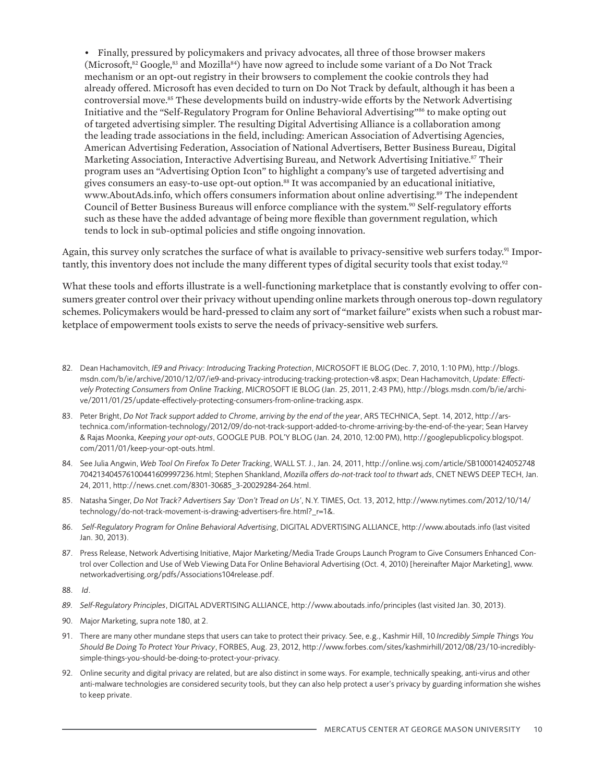• Finally, pressured by policymakers and privacy advocates, all three of those browser makers (Microsoft,<sup>82</sup> Google,<sup>83</sup> and Mozilla<sup>84</sup>) have now agreed to include some variant of a Do Not Track mechanism or an opt-out registry in their browsers to complement the cookie controls they had already offered. Microsoft has even decided to turn on Do Not Track by default, although it has been a controversial move.<sup>85</sup> These developments build on industry-wide efforts by the Network Advertising Initiative and the "Self-Regulatory Program for Online Behavioral Advertising"86 to make opting out of targeted advertising simpler. The resulting Digital Advertising Alliance is a collaboration among the leading trade associations in the field, including: American Association of Advertising Agencies, American Advertising Federation, Association of National Advertisers, Better Business Bureau, Digital Marketing Association, Interactive Advertising Bureau, and Network Advertising Initiative.87 Their program uses an "Advertising Option Icon" to highlight a company's use of targeted advertising and gives consumers an easy-to-use opt-out option.88 It was accompanied by an educational initiative, www.AboutAds.info, which offers consumers information about online advertising.89 The independent Council of Better Business Bureaus will enforce compliance with the system.<sup>90</sup> Self-regulatory efforts such as these have the added advantage of being more flexible than government regulation, which tends to lock in sub-optimal policies and stifle ongoing innovation.

Again, this survey only scratches the surface of what is available to privacy-sensitive web surfers today.<sup>91</sup> Importantly, this inventory does not include the many different types of digital security tools that exist today.<sup>92</sup>

What these tools and efforts illustrate is a well-functioning marketplace that is constantly evolving to offer consumers greater control over their privacy without upending online markets through onerous top-down regulatory schemes. Policymakers would be hard-pressed to claim any sort of "market failure" exists when such a robust marketplace of empowerment tools exists to serve the needs of privacy-sensitive web surfers.

- 82. Dean Hachamovitch, *IE9 and Privacy: Introducing Tracking Protection*, MICROSOFT IE BLOG (Dec. 7, 2010, 1:10 PM), http://blogs. msdn.com/b/ie/archive/2010/12/07/ie9-and-privacy-introducing-tracking-protection-v8.aspx; Dean Hachamovitch, *Update: Effectively Protecting Consumers from Online Tracking*, MICROSOFT IE BLOG (Jan. 25, 2011, 2:43 PM), http://blogs.msdn.com/b/ie/archive/2011/01/25/update-effectively-protecting-consumers-from-online-tracking.aspx.
- 83. Peter Bright, *Do Not Track support added to Chrome, arriving by the end of the year*, ARS TECHNICA, Sept. 14, 2012, http://arstechnica.com/information-technology/2012/09/do-not-track-support-added-to-chrome-arriving-by-the-end-of-the-year; Sean Harvey & Rajas Moonka, *Keeping your opt-outs*, GOOGLE PUB. POL'Y BLOG (Jan. 24, 2010, 12:00 PM), http://googlepublicpolicy.blogspot. com/2011/01/keep-your-opt-outs.html.
- 84. See Julia Angwin, *Web Tool On Firefox To Deter Tracking*, WALL ST. J., Jan. 24, 2011, http://online.wsj.com/article/SB10001424052748 704213404576100441609997236.html; Stephen Shankland, *Mozilla offers do-not-track tool to thwart ads*, CNET NEWS DEEP TECH, Jan. 24, 2011, http://news.cnet.com/8301-30685\_3-20029284-264.html.
- 85. Natasha Singer, *Do Not Track? Advertisers Say 'Don't Tread on Us'*, N.Y. TIMES, Oct. 13, 2012, http://www.nytimes.com/2012/10/14/ technology/do-not-track-movement-is-drawing-advertisers-fire.html?\_r=1&.
- 86. *Self-Regulatory Program for Online Behavioral Advertising*, DIGITAL ADVERTISING ALLIANCE, http://www.aboutads.info (last visited Jan. 30, 2013).
- 87. Press Release, Network Advertising Initiative, Major Marketing/Media Trade Groups Launch Program to Give Consumers Enhanced Control over Collection and Use of Web Viewing Data For Online Behavioral Advertising (Oct. 4, 2010) [hereinafter Major Marketing], www. networkadvertising.org/pdfs/Associations104release.pdf.
- 88. *Id*.
- *89. Self-Regulatory Principles*, DIGITAL ADVERTISING ALLIANCE, http://www.aboutads.info/principles (last visited Jan. 30, 2013).
- 90. Major Marketing, supra note 180, at 2.
- 91. There are many other mundane steps that users can take to protect their privacy. See, e.g., Kashmir Hill, 10 *Incredibly Simple Things You Should Be Doing To Protect Your Privacy*, FORBES, Aug. 23, 2012, http://www.forbes.com/sites/kashmirhill/2012/08/23/10-incrediblysimple-things-you-should-be-doing-to-protect-your-privacy.
- 92. Online security and digital privacy are related, but are also distinct in some ways. For example, technically speaking, anti-virus and other anti-malware technologies are considered security tools, but they can also help protect a user's privacy by guarding information she wishes to keep private.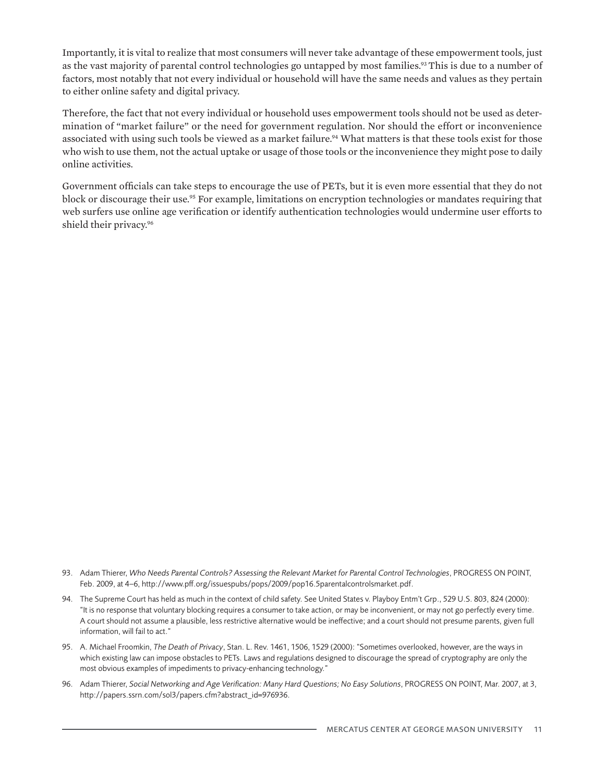Importantly, it is vital to realize that most consumers will never take advantage of these empowerment tools, just as the vast majority of parental control technologies go untapped by most families.<sup>93</sup> This is due to a number of factors, most notably that not every individual or household will have the same needs and values as they pertain to either online safety and digital privacy.

Therefore, the fact that not every individual or household uses empowerment tools should not be used as determination of "market failure" or the need for government regulation. Nor should the effort or inconvenience associated with using such tools be viewed as a market failure.<sup>94</sup> What matters is that these tools exist for those who wish to use them, not the actual uptake or usage of those tools or the inconvenience they might pose to daily online activities.

Government officials can take steps to encourage the use of PETs, but it is even more essential that they do not block or discourage their use.<sup>95</sup> For example, limitations on encryption technologies or mandates requiring that web surfers use online age verification or identify authentication technologies would undermine user efforts to shield their privacy.<sup>96</sup>

- 93. Adam Thierer, *Who Needs Parental Controls? Assessing the Relevant Market for Parental Control Technologies*, PROGRESS ON POINT, Feb. 2009, at 4–6, http://www.pff.org/issuespubs/pops/2009/pop16.5parentalcontrolsmarket.pdf.
- 94. The Supreme Court has held as much in the context of child safety. See United States v. Playboy Entm't Grp., 529 U.S. 803, 824 (2000): "It is no response that voluntary blocking requires a consumer to take action, or may be inconvenient, or may not go perfectly every time. A court should not assume a plausible, less restrictive alternative would be ineffective; and a court should not presume parents, given full information, will fail to act."
- 95. A. Michael Froomkin, *The Death of Privacy*, Stan. L. Rev. 1461, 1506, 1529 (2000): "Sometimes overlooked, however, are the ways in which existing law can impose obstacles to PETs. Laws and regulations designed to discourage the spread of cryptography are only the most obvious examples of impediments to privacy-enhancing technology."
- 96. Adam Thierer, *Social Networking and Age Verification: Many Hard Questions; No Easy Solutions*, PROGRESS ON POINT, Mar. 2007, at 3, http://papers.ssrn.com/sol3/papers.cfm?abstract\_id=976936.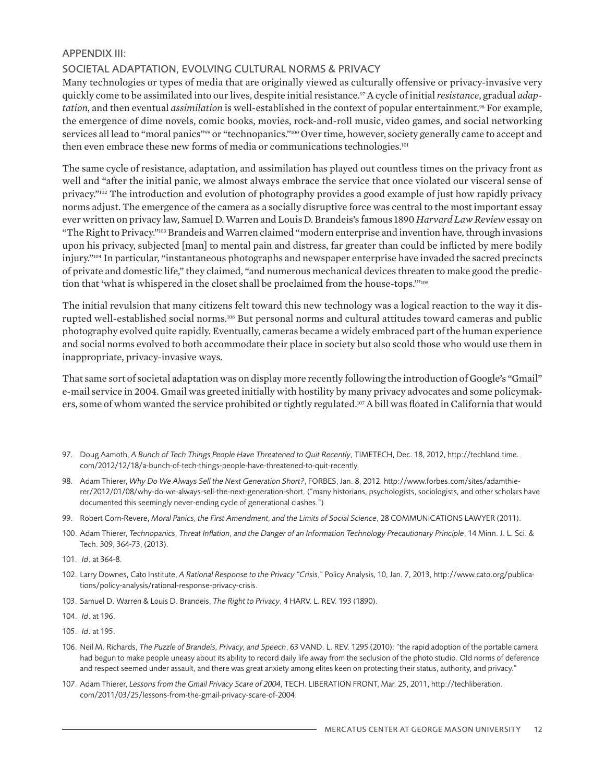# APPENDIX III:

# SOCIETAL ADAPTATION, EVOLVING CULTURAL NORMS & PRIVACY

Many technologies or types of media that are originally viewed as culturally offensive or privacy-invasive very quickly come to be assimilated into our lives, despite initial resistance.97 A cycle of initial *resistance*, gradual *adaptation*, and then eventual *assimilation* is well-established in the context of popular entertainment.<sup>98</sup> For example, the emergence of dime novels, comic books, movies, rock-and-roll music, video games, and social networking services all lead to "moral panics"<sup>99</sup> or "technopanics."<sup>100</sup> Over time, however, society generally came to accept and then even embrace these new forms of media or communications technologies.<sup>101</sup>

The same cycle of resistance, adaptation, and assimilation has played out countless times on the privacy front as well and "after the initial panic, we almost always embrace the service that once violated our visceral sense of privacy."102 The introduction and evolution of photography provides a good example of just how rapidly privacy norms adjust. The emergence of the camera as a socially disruptive force was central to the most important essay ever written on privacy law, Samuel D. Warren and Louis D. Brandeis's famous 1890 *Harvard Law Review* essay on "The Right to Privacy."103 Brandeis and Warren claimed "modern enterprise and invention have, through invasions upon his privacy, subjected [man] to mental pain and distress, far greater than could be inflicted by mere bodily injury."104 In particular, "instantaneous photographs and newspaper enterprise have invaded the sacred precincts of private and domestic life," they claimed, "and numerous mechanical devices threaten to make good the prediction that 'what is whispered in the closet shall be proclaimed from the house-tops.'"105

The initial revulsion that many citizens felt toward this new technology was a logical reaction to the way it disrupted well-established social norms.106 But personal norms and cultural attitudes toward cameras and public photography evolved quite rapidly. Eventually, cameras became a widely embraced part of the human experience and social norms evolved to both accommodate their place in society but also scold those who would use them in inappropriate, privacy-invasive ways.

That same sort of societal adaptation was on display more recently following the introduction of Google's "Gmail" e-mail service in 2004. Gmail was greeted initially with hostility by many privacy advocates and some policymakers, some of whom wanted the service prohibited or tightly regulated.107 A bill was floated in California that would

- 97. Doug Aamoth, *A Bunch of Tech Things People Have Threatened to Quit Recently*, TIMETECH, Dec. 18, 2012, http://techland.time. com/2012/12/18/a-bunch-of-tech-things-people-have-threatened-to-quit-recently.
- 98. Adam Thierer, *Why Do We Always Sell the Next Generation Short?*, FORBES, Jan. 8, 2012, http://www.forbes.com/sites/adamthierer/2012/01/08/why-do-we-always-sell-the-next-generation-short. ("many historians, psychologists, sociologists, and other scholars have documented this seemingly never-ending cycle of generational clashes.")
- 99. Robert Corn-Revere, *Moral Panics, the First Amendment, and the Limits of Social Science*, 28 COMMUNICATIONS LAWYER (2011).
- 100. Adam Thierer, *Technopanics, Threat Inflation, and the Danger of an Information Technology Precautionary Principle*, 14 Minn. J. L. Sci. & Tech. 309, 364-73, (2013).
- 101. *Id*. at 364-8.
- 102. Larry Downes, Cato Institute, *A Rational Response to the Privacy "Crisis*," Policy Analysis, 10, Jan. 7, 2013, http://www.cato.org/publications/policy-analysis/rational-response-privacy-crisis.
- 103. Samuel D. Warren & Louis D. Brandeis, *The Right to Privacy*, 4 HARV. L. REV. 193 (1890).

104. *Id*. at 196.

- 105. *Id*. at 195.
- 106. Neil M. Richards, *The Puzzle of Brandeis, Privacy, and Speech*, 63 VAND. L. REV. 1295 (2010): "the rapid adoption of the portable camera had begun to make people uneasy about its ability to record daily life away from the seclusion of the photo studio. Old norms of deference and respect seemed under assault, and there was great anxiety among elites keen on protecting their status, authority, and privacy."
- 107. Adam Thierer, *Lessons from the Gmail Privacy Scare of 2004*, TECH. LIBERATION FRONT, Mar. 25, 2011, http://techliberation. com/2011/03/25/lessons-from-the-gmail-privacy-scare-of-2004.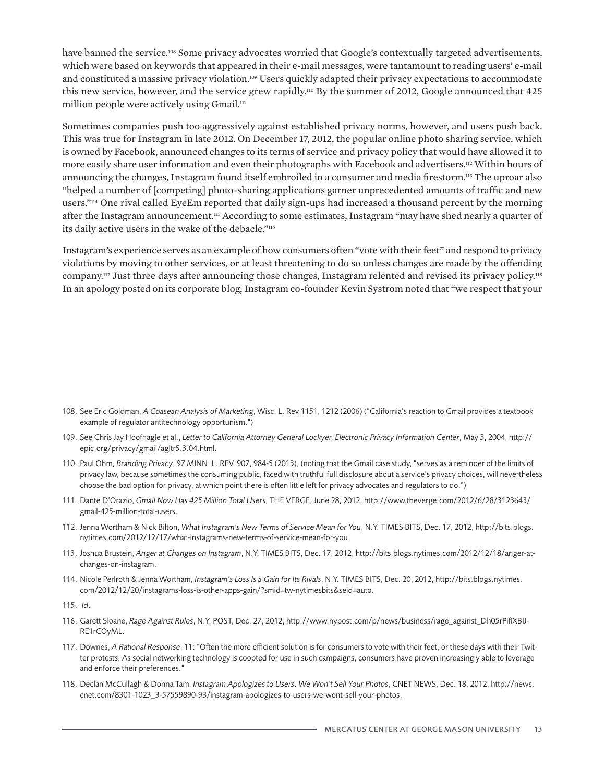have banned the service.<sup>108</sup> Some privacy advocates worried that Google's contextually targeted advertisements, which were based on keywords that appeared in their e-mail messages, were tantamount to reading users' e-mail and constituted a massive privacy violation.109 Users quickly adapted their privacy expectations to accommodate this new service, however, and the service grew rapidly.110 By the summer of 2012, Google announced that 425 million people were actively using  $G$ mail.<sup>111</sup>

Sometimes companies push too aggressively against established privacy norms, however, and users push back. This was true for Instagram in late 2012. On December 17, 2012, the popular online photo sharing service, which is owned by Facebook, announced changes to its terms of service and privacy policy that would have allowed it to more easily share user information and even their photographs with Facebook and advertisers.112 Within hours of announcing the changes, Instagram found itself embroiled in a consumer and media firestorm.113 The uproar also "helped a number of [competing] photo-sharing applications garner unprecedented amounts of traffic and new users."114 One rival called EyeEm reported that daily sign-ups had increased a thousand percent by the morning after the Instagram announcement.115 According to some estimates, Instagram "may have shed nearly a quarter of its daily active users in the wake of the debacle."116

Instagram's experience serves as an example of how consumers often "vote with their feet" and respond to privacy violations by moving to other services, or at least threatening to do so unless changes are made by the offending company.117 Just three days after announcing those changes, Instagram relented and revised its privacy policy.118 In an apology posted on its corporate blog, Instagram co-founder Kevin Systrom noted that "we respect that your

- 108. See Eric Goldman, *A Coasean Analysis of Marketing*, Wisc. L. Rev 1151, 1212 (2006) ("California's reaction to Gmail provides a textbook example of regulator antitechnology opportunism.")
- 109. See Chris Jay Hoofnagle et al., *Letter to California Attorney General Lockyer, Electronic Privacy Information Center*, May 3, 2004, http:// epic.org/privacy/gmail/agltr5.3.04.html.
- 110. Paul Ohm, *Branding Privacy*, 97 MINN. L. REV. 907, 984-5 (2013), (noting that the Gmail case study, "serves as a reminder of the limits of privacy law, because sometimes the consuming public, faced with truthful full disclosure about a service's privacy choices, will nevertheless choose the bad option for privacy, at which point there is often little left for privacy advocates and regulators to do.")
- 111. Dante D'Orazio, *Gmail Now Has 425 Million Total Users*, THE VERGE, June 28, 2012, http://www.theverge.com/2012/6/28/3123643/ gmail-425-million-total-users.
- 112. Jenna Wortham & Nick Bilton, *What Instagram's New Terms of Service Mean for You*, N.Y. TIMES BITS, Dec. 17, 2012, http://bits.blogs. nytimes.com/2012/12/17/what-instagrams-new-terms-of-service-mean-for-you.
- 113. Joshua Brustein, *Anger at Changes on Instagram*, N.Y. TIMES BITS, Dec. 17, 2012, http://bits.blogs.nytimes.com/2012/12/18/anger-atchanges-on-instagram.
- 114. Nicole Perlroth & Jenna Wortham, *Instagram's Loss Is a Gain for Its Rivals*, N.Y. TIMES BITS, Dec. 20, 2012, http://bits.blogs.nytimes. com/2012/12/20/instagrams-loss-is-other-apps-gain/?smid=tw-nytimesbits&seid=auto.
- 115. *Id*.
- 116. Garett Sloane, *Rage Against Rules*, N.Y. POST, Dec. 27, 2012, http://www.nypost.com/p/news/business/rage\_against\_Dh05rPifiXBIJ-RE1rCOyML.
- 117. Downes, *A Rational Response*, 11: "Often the more efficient solution is for consumers to vote with their feet, or these days with their Twitter protests. As social networking technology is coopted for use in such campaigns, consumers have proven increasingly able to leverage and enforce their preferences."
- 118. Declan McCullagh & Donna Tam, *Instagram Apologizes to Users: We Won't Sell Your Photos*, CNET NEWS, Dec. 18, 2012, http://news. cnet.com/8301-1023\_3-57559890-93/instagram-apologizes-to-users-we-wont-sell-your-photos.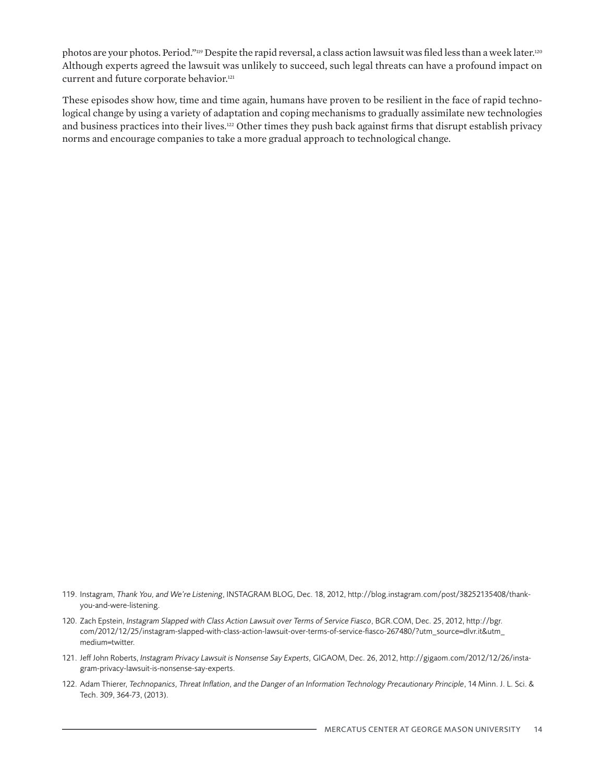photos are your photos. Period."<sup>119</sup> Despite the rapid reversal, a class action lawsuit was filed less than a week later.<sup>120</sup> Although experts agreed the lawsuit was unlikely to succeed, such legal threats can have a profound impact on current and future corporate behavior.<sup>121</sup>

These episodes show how, time and time again, humans have proven to be resilient in the face of rapid technological change by using a variety of adaptation and coping mechanisms to gradually assimilate new technologies and business practices into their lives.122 Other times they push back against firms that disrupt establish privacy norms and encourage companies to take a more gradual approach to technological change.

- 121. Jeff John Roberts, *Instagram Privacy Lawsuit is Nonsense Say Experts,* GIGAOM, Dec. 26, 2012, http://gigaom.com/2012/12/26/instagram-privacy-lawsuit-is-nonsense-say-experts.
- 122. Adam Thierer, *Technopanics, Threat Inflation, and the Danger of an Information Technology Precautionary Principle*, 14 Minn. J. L. Sci. & Tech. 309, 364-73, (2013).

<sup>119.</sup> Instagram, *Thank You, and We're Listening*, INSTAGRAM BLOG, Dec. 18, 2012, http://blog.instagram.com/post/38252135408/thankyou-and-were-listening.

<sup>120.</sup> Zach Epstein, *Instagram Slapped with Class Action Lawsuit over Terms of Service Fiasco*, BGR.COM, Dec. 25, 2012, http://bgr. com/2012/12/25/instagram-slapped-with-class-action-lawsuit-over-terms-of-service-fiasco-267480/?utm\_source=dlvr.it&utm\_ medium=twitter.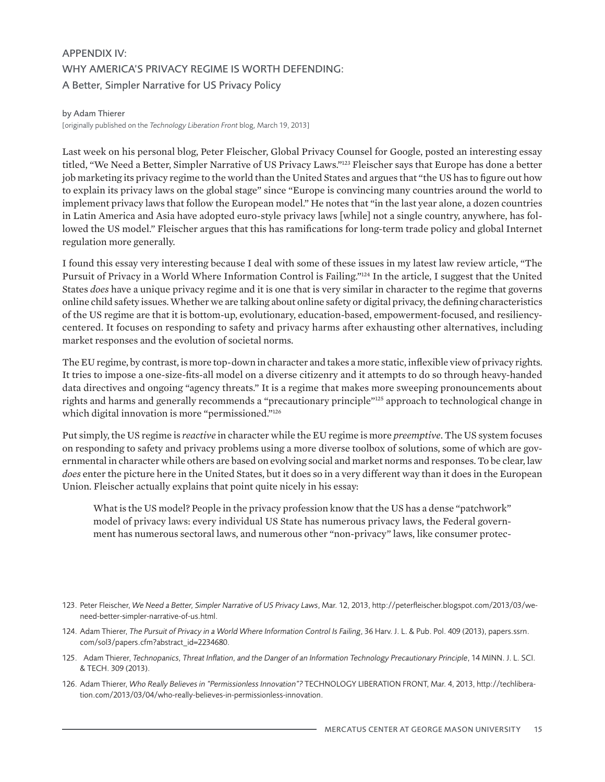# APPENDIX IV: WHY AMERICA'S PRIVACY REGIME IS WORTH DEFENDING: A Better, Simpler Narrative for US Privacy Policy

#### by Adam Thierer

[originally published on the *Technology Liberation Front* blog, March 19, 2013]

Last week on his personal blog, Peter Fleischer, Global Privacy Counsel for Google, posted an interesting essay titled, "We Need a Better, Simpler Narrative of US Privacy Laws."123 Fleischer says that Europe has done a better job marketing its privacy regime to the world than the United States and argues that "the US has to figure out how to explain its privacy laws on the global stage" since "Europe is convincing many countries around the world to implement privacy laws that follow the European model." He notes that "in the last year alone, a dozen countries in Latin America and Asia have adopted euro-style privacy laws [while] not a single country, anywhere, has followed the US model." Fleischer argues that this has ramifications for long-term trade policy and global Internet regulation more generally.

I found this essay very interesting because I deal with some of these issues in my latest law review article, "The Pursuit of Privacy in a World Where Information Control is Failing."124 In the article, I suggest that the United States *does* have a unique privacy regime and it is one that is very similar in character to the regime that governs online child safety issues. Whether we are talking about online safety or digital privacy, the defining characteristics of the US regime are that it is bottom-up, evolutionary, education-based, empowerment-focused, and resiliencycentered. It focuses on responding to safety and privacy harms after exhausting other alternatives, including market responses and the evolution of societal norms.

The EU regime, by contrast, is more top-down in character and takes a more static, inflexible view of privacy rights. It tries to impose a one-size-fits-all model on a diverse citizenry and it attempts to do so through heavy-handed data directives and ongoing "agency threats." It is a regime that makes more sweeping pronouncements about rights and harms and generally recommends a "precautionary principle"125 approach to technological change in which digital innovation is more "permissioned."<sup>126</sup>

Put simply, the US regime is *reactive* in character while the EU regime is more *preemptive*. The US system focuses on responding to safety and privacy problems using a more diverse toolbox of solutions, some of which are governmental in character while others are based on evolving social and market norms and responses. To be clear, law *does* enter the picture here in the United States, but it does so in a very different way than it does in the European Union. Fleischer actually explains that point quite nicely in his essay:

What is the US model? People in the privacy profession know that the US has a dense "patchwork" model of privacy laws: every individual US State has numerous privacy laws, the Federal government has numerous sectoral laws, and numerous other "non-privacy" laws, like consumer protec-

- 125. Adam Thierer, *Technopanics, Threat Inflation, and the Danger of an Information Technology Precautionary Principle*, 14 MINN. J. L. SCI. & TECH. 309 (2013).
- 126. Adam Thierer, *Who Really Believes in "Permissionless Innovation"?* TECHNOLOGY LIBERATION FRONT, Mar. 4, 2013, http://techliberation.com/2013/03/04/who-really-believes-in-permissionless-innovation.

<sup>123.</sup> Peter Fleischer, *We Need a Better, Simpler Narrative of US Privacy Laws*, Mar. 12, 2013, http://peterfleischer.blogspot.com/2013/03/weneed-better-simpler-narrative-of-us.html.

<sup>124.</sup> Adam Thierer, *The Pursuit of Privacy in a World Where Information Control Is Failing*, 36 Harv. J. L. & Pub. Pol. 409 (2013), papers.ssrn. com/sol3/papers.cfm?abstract\_id=2234680.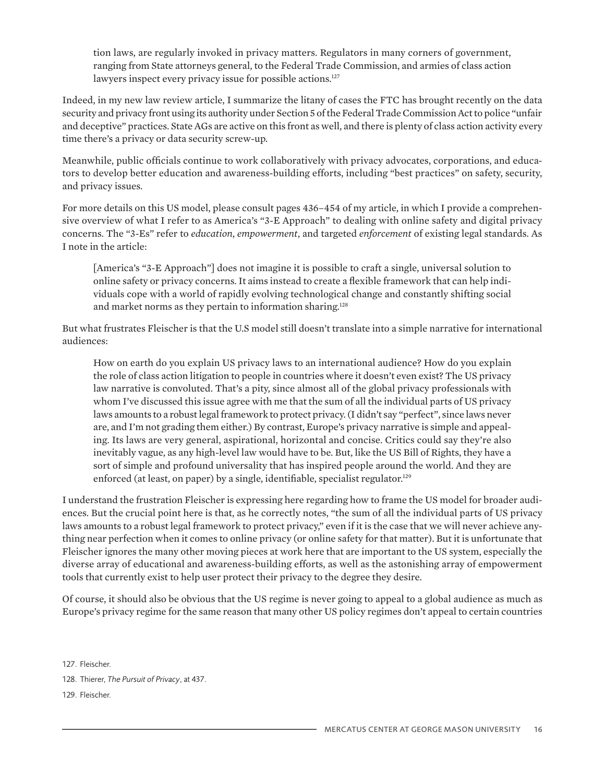tion laws, are regularly invoked in privacy matters. Regulators in many corners of government, ranging from State attorneys general, to the Federal Trade Commission, and armies of class action lawyers inspect every privacy issue for possible actions.<sup>127</sup>

Indeed, in my new law review article, I summarize the litany of cases the FTC has brought recently on the data security and privacy front using its authority under Section 5 of the Federal Trade Commission Act to police "unfair and deceptive" practices. State AGs are active on this front as well, and there is plenty of class action activity every time there's a privacy or data security screw-up.

Meanwhile, public officials continue to work collaboratively with privacy advocates, corporations, and educators to develop better education and awareness-building efforts, including "best practices" on safety, security, and privacy issues.

For more details on this US model, please consult pages 436–454 of my article, in which I provide a comprehensive overview of what I refer to as America's "3-E Approach" to dealing with online safety and digital privacy concerns. The "3-Es" refer to *education*, *empowerment*, and targeted *enforcement* of existing legal standards. As I note in the article:

[America's "3-E Approach"] does not imagine it is possible to craft a single, universal solution to online safety or privacy concerns. It aims instead to create a flexible framework that can help individuals cope with a world of rapidly evolving technological change and constantly shifting social and market norms as they pertain to information sharing.<sup>128</sup>

But what frustrates Fleischer is that the U.S model still doesn't translate into a simple narrative for international audiences:

How on earth do you explain US privacy laws to an international audience? How do you explain the role of class action litigation to people in countries where it doesn't even exist? The US privacy law narrative is convoluted. That's a pity, since almost all of the global privacy professionals with whom I've discussed this issue agree with me that the sum of all the individual parts of US privacy laws amounts to a robust legal framework to protect privacy. (I didn't say "perfect", since laws never are, and I'm not grading them either.) By contrast, Europe's privacy narrative is simple and appealing. Its laws are very general, aspirational, horizontal and concise. Critics could say they're also inevitably vague, as any high-level law would have to be. But, like the US Bill of Rights, they have a sort of simple and profound universality that has inspired people around the world. And they are enforced (at least, on paper) by a single, identifiable, specialist regulator.<sup>129</sup>

I understand the frustration Fleischer is expressing here regarding how to frame the US model for broader audiences. But the crucial point here is that, as he correctly notes, "the sum of all the individual parts of US privacy laws amounts to a robust legal framework to protect privacy," even if it is the case that we will never achieve anything near perfection when it comes to online privacy (or online safety for that matter). But it is unfortunate that Fleischer ignores the many other moving pieces at work here that are important to the US system, especially the diverse array of educational and awareness-building efforts, as well as the astonishing array of empowerment tools that currently exist to help user protect their privacy to the degree they desire.

Of course, it should also be obvious that the US regime is never going to appeal to a global audience as much as Europe's privacy regime for the same reason that many other US policy regimes don't appeal to certain countries

127. Fleischer.

129. Fleischer.

<sup>128.</sup> Thierer, *The Pursuit of Privacy*, at 437.